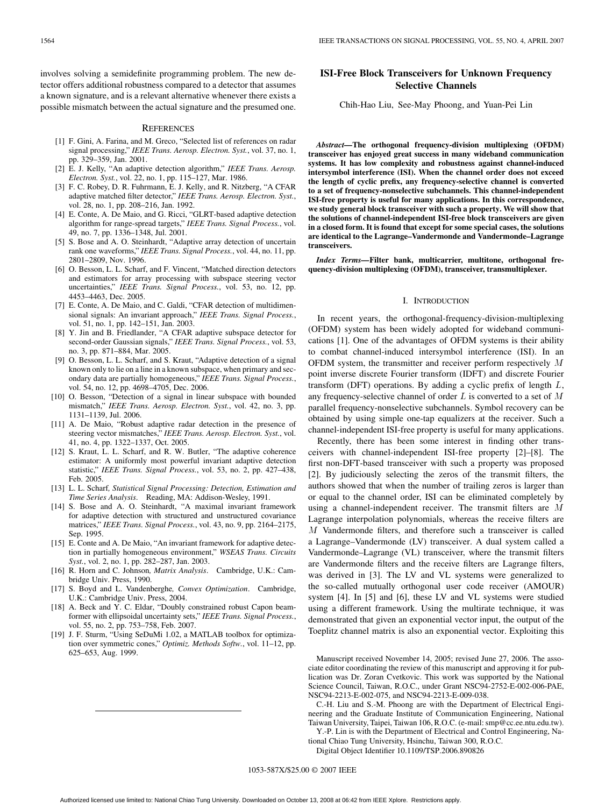<span id="page-0-0"></span>involves solving a semidefinite programming problem. The new detector offers additional robustness compared to a detector that assumes a known signature, and is a relevant alternative whenever there exists a possible mismatch between the actual signature and the presumed one.

## **REFERENCES**

- [1] F. Gini, A. Farina, and M. Greco, "Selected list of references on radar signal processing," *IEEE Trans. Aerosp. Electron. Syst.*, vol. 37, no. 1, pp. 329–359, Jan. 2001.
- [2] E. J. Kelly, "An adaptive detection algorithm," *IEEE Trans. Aerosp. Electron. Syst.*, vol. 22, no. 1, pp. 115–127, Mar. 1986.
- [3] F. C. Robey, D. R. Fuhrmann, E. J. Kelly, and R. Nitzberg, "A CFAR adaptive matched filter detector," *IEEE Trans. Aerosp. Electron. Syst.*, vol. 28, no. 1, pp. 208–216, Jan. 1992.
- [4] E. Conte, A. De Maio, and G. Ricci, "GLRT-based adaptive detection algorithm for range-spread targets," *IEEE Trans. Signal Process.*, vol. 49, no. 7, pp. 1336–1348, Jul. 2001.
- [5] S. Bose and A. O. Steinhardt, "Adaptive array detection of uncertain rank one waveforms," *IEEE Trans. Signal Process.*, vol. 44, no. 11, pp. 2801–2809, Nov. 1996.
- [6] O. Besson, L. L. Scharf, and F. Vincent, "Matched direction detectors and estimators for array processing with subspace steering vector uncertainties," *IEEE Trans. Signal Process.*, vol. 53, no. 12, pp. 4453–4463, Dec. 2005.
- [7] E. Conte, A. De Maio, and C. Galdi, "CFAR detection of multidimensional signals: An invariant approach," *IEEE Trans. Signal Process.*, vol. 51, no. 1, pp. 142–151, Jan. 2003.
- [8] Y. Jin and B. Friedlander, "A CFAR adaptive subspace detector for second-order Gaussian signals," *IEEE Trans. Signal Process.*, vol. 53, no. 3, pp. 871–884, Mar. 2005.
- [9] O. Besson, L. L. Scharf, and S. Kraut, "Adaptive detection of a signal known only to lie on a line in a known subspace, when primary and secondary data are partially homogeneous," *IEEE Trans. Signal Process.*, vol. 54, no. 12, pp. 4698–4705, Dec. 2006.
- [10] O. Besson, "Detection of a signal in linear subspace with bounded mismatch," *IEEE Trans. Aerosp. Electron. Syst.*, vol. 42, no. 3, pp. 1131–1139, Jul. 2006.
- [11] A. De Maio, "Robust adaptive radar detection in the presence of steering vector mismatches," *IEEE Trans. Aerosp. Electron. Syst.*, vol. 41, no. 4, pp. 1322–1337, Oct. 2005.
- [12] S. Kraut, L. L. Scharf, and R. W. Butler, "The adaptive coherence estimator: A uniformly most powerful invariant adaptive detection statistic," *IEEE Trans. Signal Process.*, vol. 53, no. 2, pp. 427–438, Feb. 2005.
- [13] L. L. Scharf*, Statistical Signal Processing: Detection, Estimation and Time Series Analysis*. Reading, MA: Addison-Wesley, 1991.
- [14] S. Bose and A. O. Steinhardt, "A maximal invariant framework for adaptive detection with structured and unstructured covariance matrices," *IEEE Trans. Signal Process.*, vol. 43, no. 9, pp. 2164–2175, Sep. 1995.
- [15] E. Conte and A. De Maio, "An invariant framework for adaptive detection in partially homogeneous environment," *WSEAS Trans. Circuits Syst.*, vol. 2, no. 1, pp. 282–287, Jan. 2003.
- [16] R. Horn and C. Johnson*, Matrix Analysis*. Cambridge, U.K.: Cambridge Univ. Press, 1990.
- [17] S. Boyd and L. Vandenberghe*, Convex Optimization*. Cambridge, U.K.: Cambridge Univ. Press, 2004.
- [18] A. Beck and Y. C. Eldar, "Doubly constrained robust Capon beamformer with ellipsoidal uncertainty sets," *IEEE Trans. Signal Process.*, vol. 55, no. 2, pp. 753–758, Feb. 2007.
- [19] J. F. Sturm, "Using SeDuMi 1.02, a MATLAB toolbox for optimization over symmetric cones," *Optimiz. Methods Softw.*, vol. 11–12, pp. 625–653, Aug. 1999.

# **ISI-Free Block Transceivers for Unknown Frequency Selective Channels**

Chih-Hao Liu, See-May Phoong, and Yuan-Pei Lin

*Abstract—***The orthogonal frequency-division multiplexing (OFDM) transceiver has enjoyed great success in many wideband communication systems. It has low complexity and robustness against channel-induced intersymbol interference (ISI). When the channel order does not exceed the length of cyclic prefix, any frequency-selective channel is converted to a set of frequency-nonselective subchannels. This channel-independent ISI-free property is useful for many applications. In this correspondence, we study general block transceiver with such a property. We will show that the solutions of channel-independent ISI-free block transceivers are given in a closed form. It is found that except for some special cases, the solutions are identical to the Lagrange–Vandermonde and Vandermonde–Lagrange transceivers.**

*Index Terms—***Filter bank, multicarrier, multitone, orthogonal frequency-division multiplexing (OFDM), transceiver, transmultiplexer.**

# I. INTRODUCTION

In recent years, the orthogonal-frequency-division-multiplexing (OFDM) system has been widely adopted for wideband communications [1]. One of the advantages of OFDM systems is their ability to combat channel-induced intersymbol interference (ISI). In an OFDM system, the transmitter and receiver perform respectively  $M$ point inverse discrete Fourier transform (IDFT) and discrete Fourier transform (DFT) operations. By adding a cyclic prefix of length  $L$ , any frequency-selective channel of order  $L$  is converted to a set of  $M$ parallel frequency-nonselective subchannels. Symbol recovery can be obtained by using simple one-tap equalizers at the receiver. Such a channel-independent ISI-free property is useful for many applications.

Recently, there has been some interest in finding other transceivers with channel-independent ISI-free property [2]–[8]. The first non-DFT-based transceiver with such a property was proposed [2]. By judiciously selecting the zeros of the transmit filters, the authors showed that when the number of trailing zeros is larger than or equal to the channel order, ISI can be eliminated completely by using a channel-independent receiver. The transmit filters are M Lagrange interpolation polynomials, whereas the receive filters are M Vandermonde filters, and therefore such a transceiver is called a Lagrange–Vandermonde (LV) transceiver. A dual system called a Vandermonde–Lagrange (VL) transceiver, where the transmit filters are Vandermonde filters and the receive filters are Lagrange filters, was derived in [3]. The LV and VL systems were generalized to the so-called mutually orthogonal user code receiver (AMOUR) system [4]. In [5] and [6], these LV and VL systems were studied using a different framework. Using the multirate technique, it was demonstrated that given an exponential vector input, the output of the Toeplitz channel matrix is also an exponential vector. Exploiting this

Manuscript received November 14, 2005; revised June 27, 2006. The associate editor coordinating the review of this manuscript and approving it for publication was Dr. Zoran Cvetkovic. This work was supported by the National Science Council, Taiwan, R.O.C., under Grant NSC94-2752-E-002-006-PAE, NSC94-2213-E-002-075, and NSC94-2213-E-009-038.

C.-H. Liu and S.-M. Phoong are with the Department of Electrical Engineering and the Graduate Institute of Communication Engineering, National Taiwan University, Taipei, Taiwan 106, R.O.C. (e-mail: smp@cc.ee.ntu.edu.tw).

Y.-P. Lin is with the Department of Electrical and Control Engineering, National Chiao Tung University, Hsinchu, Taiwan 300, R.O.C.

Digital Object Identifier 10.1109/TSP.2006.890826

1053-587X/\$25.00 © 2007 IEEE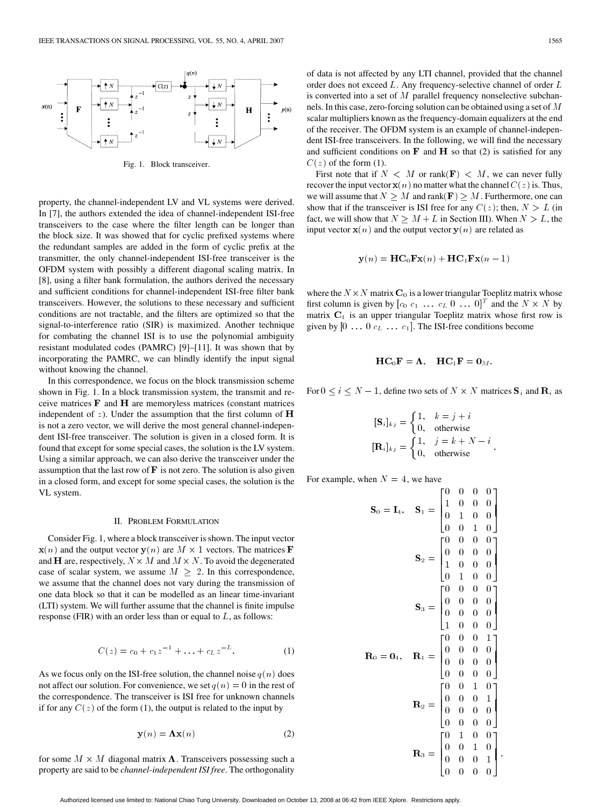<span id="page-1-0"></span>

Fig. 1. Block transceiver.

property, the channel-independent LV and VL systems were derived. In [\[7\],](#page-0-0) the authors extended the idea of channel-independent ISI-free transceivers to the case where the filter length can be longer than the block size. It was showed that for cyclic prefixed systems where the redundant samples are added in the form of cyclic prefix at the transmitter, the only channel-independent ISI-free transceiver is the OFDM system with possibly a different diagonal scaling matrix. In [\[8\],](#page-0-0) using a filter bank formulation, the authors derived the necessary and sufficient conditions for channel-independent ISI-free filter bank transceivers. However, the solutions to these necessary and sufficient conditions are not tractable, and the filters are optimized so that the signal-to-interference ratio (SIR) is maximized. Another technique for combating the channel ISI is to use the polynomial ambiguity resistant modulated codes (PAMRC) [\[9\]–\[11\].](#page-0-0) It was shown that by incorporating the PAMRC, we can blindly identify the input signal without knowing the channel.

In this correspondence, we focus on the block transmission scheme shown in Fig. 1. In a block transmission system, the transmit and receive matrices F and H are memoryless matrices (constant matrices independent of  $z$ ). Under the assumption that the first column of  $\bf H$ is not a zero vector, we will derive the most general channel-independent ISI-free transceiver. The solution is given in a closed form. It is found that except for some special cases, the solution is the LV system. Using a similar approach, we can also derive the transceiver under the assumption that the last row of  $\bf{F}$  is not zero. The solution is also given in a closed form, and except for some special cases, the solution is the VL system.

### II. PROBLEM FORMULATION

Consider Fig. 1, where a block transceiver is shown. The input vector  $\mathbf{x}(n)$  and the output vector  $\mathbf{y}(n)$  are  $M \times 1$  vectors. The matrices **F** and **H** are, respectively,  $N \times M$  and  $M \times N$ . To avoid the degenerated case of scalar system, we assume  $M \geq 2$ . In this correspondence, we assume that the channel does not vary during the transmission of one data block so that it can be modelled as an linear time-invariant (LTI) system. We will further assume that the channel is finite impulse response (FIR) with an order less than or equal to  $L$ , as follows:

$$
C(z) = c_0 + c_1 z^{-1} + \dots + c_L z^{-L}.
$$
 (1)

As we focus only on the ISI-free solution, the channel noise  $q(n)$  does not affect our solution. For convenience, we set  $q(n)=0$  in the rest of the correspondence. The transceiver is ISI free for unknown channels if for any  $C(z)$  of the form (1), the output is related to the input by

$$
\mathbf{y}(n) = \mathbf{\Lambda} \mathbf{x}(n) \tag{2}
$$

for some  $M \times M$  diagonal matrix  $\Lambda$ . Transceivers possessing such a property are said to be *channel-independent ISI free*. The orthogonality

of data is not affected by any LTI channel, provided that the channel order does not exceed L. Any frequency-selective channel of order L is converted into a set of  $M$  parallel frequency nonselective subchannels. In this case, zero-forcing solution can be obtained using a set of M scalar multipliers known as the frequency-domain equalizers at the end of the receiver. The OFDM system is an example of channel-independent ISI-free transceivers. In the following, we will find the necessary and sufficient conditions on  $\bf{F}$  and  $\bf{H}$  so that (2) is satisfied for any  $C(z)$  of the form (1).

First note that if  $N < M$  or rank(F)  $< M$ , we can never fully recover the input vector  $\mathbf{x}(n)$  no matter what the channel  $C(z)$  is. Thus, we will assume that  $N \geq M$  and rank( $\mathbf{F}$ )  $\geq M$ . Furthermore, one can show that if the transceiver is ISI free for any  $C(z)$ ; then,  $N > L$  (in fact, we will show that  $N \geq M + L$  in [Section III](#page-2-0)). When  $N > L$ , the input vector  $\mathbf{x}(n)$  and the output vector  $\mathbf{y}(n)$  are related as

$$
\mathbf{y}(n) = \mathbf{H}\mathbf{C}_0 \mathbf{F}\mathbf{x}(n) + \mathbf{H}\mathbf{C}_1 \mathbf{F}\mathbf{x}(n-1)
$$

where the  $N \times N$  matrix  $\mathbf{C}_0$  is a lower triangular Toeplitz matrix whose first column is given by  $[c_0 \ c_1 \ \ldots \ c_L \ 0 \ \ldots \ 0]^T$  and the  $N \times N$  by matrix  $C_1$  is an upper triangular Toeplitz matrix whose first row is given by  $[0 \ldots 0 \, c_L \ldots c_1]$ . The ISI-free conditions become

$$
\mathbf{H}\mathbf{C}_0\mathbf{F}=\mathbf{\Lambda},\quad \mathbf{H}\mathbf{C}_1\mathbf{F}=\mathbf{0}_M.
$$

For  $0 \le i \le N - 1$ , define two sets of  $N \times N$  matrices  $S_i$  and  $R_i$  as

$$
[\mathbf{S}_{i}]_{kj} = \begin{cases} 1, & k = j + i \\ 0, & \text{otherwise} \end{cases}
$$

$$
[\mathbf{R}_{i}]_{kj} = \begin{cases} 1, & j = k + N - i \\ 0, & \text{otherwise} \end{cases}.
$$

For example, when  $N = 4$ , we have

$$
\mathbf{S}_0 = \mathbf{I}_4, \quad \mathbf{S}_1 = \begin{bmatrix} 0 & 0 & 0 & 0 \\ 1 & 0 & 0 & 0 \\ 0 & 1 & 0 & 0 \\ 0 & 0 & 1 & 0 \end{bmatrix}
$$

$$
\mathbf{S}_2 = \begin{bmatrix} 0 & 0 & 0 & 0 \\ 0 & 0 & 0 & 0 \\ 0 & 0 & 0 & 0 \\ 1 & 0 & 0 & 0 \\ 0 & 1 & 0 & 0 \end{bmatrix}
$$

$$
\mathbf{S}_3 = \begin{bmatrix} 0 & 0 & 0 & 0 \\ 0 & 0 & 0 & 0 \\ 0 & 0 & 0 & 0 \\ 1 & 0 & 0 & 0 \\ 0 & 0 & 0 & 0 \end{bmatrix}
$$

$$
\mathbf{R}_0 = \mathbf{0}_4, \quad \mathbf{R}_1 = \begin{bmatrix} 0 & 0 & 0 & 1 \\ 0 & 0 & 0 & 0 \\ 0 & 0 & 0 & 0 \\ 0 & 0 & 0 & 0 \\ 0 & 0 & 0 & 0 \end{bmatrix}
$$

$$
\mathbf{R}_2 = \begin{bmatrix} 0 & 0 & 1 & 0 \\ 0 & 0 & 0 & 1 \\ 0 & 0 & 0 & 0 \\ 0 & 0 & 0 & 0 \end{bmatrix}
$$

$$
\mathbf{R}_3 = \begin{bmatrix} 0 & 1 & 0 & 0 \\ 0 & 0 & 1 & 0 \\ 0 & 0 & 0 & 1 \\ 0 & 0 & 0 & 0 \end{bmatrix}
$$

: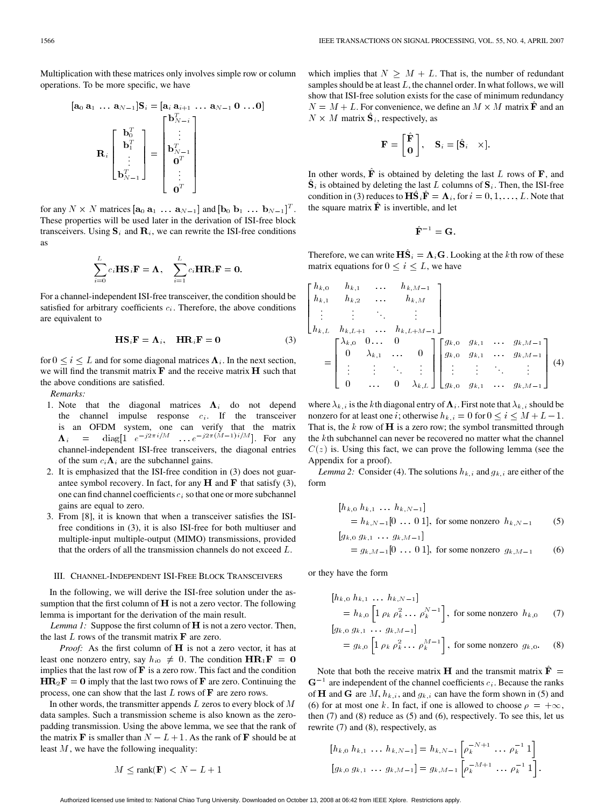<span id="page-2-0"></span>Multiplication with these matrices only involves simple row or column operations. To be more specific, we have<br>  $[\mathbf{a}_0 \ \mathbf{a}_1 \ \dots \ \mathbf{a}_{N-1}] \mathbf{S}_i = [\mathbf{a}_i \ \mathbf{a}_{i+1} \ \dots \ \mathbf{a}_{N-1} \ \mathbf{0} \ \dots \ \mathbf{0}]$ 

$$
\begin{bmatrix}\n\mathbf{a}_{0} \mathbf{a}_{1} \dots \mathbf{a}_{N-1}\n\end{bmatrix}\n\mathbf{S}_{i} = \begin{bmatrix}\n\mathbf{a}_{i} \mathbf{a}_{i+1} \dots \mathbf{a}_{N-1} \mathbf{0} \dots \mathbf{0} \\
\mathbf{b}_{0}^{T} \\
\vdots \\
\mathbf{b}_{N-1}^{T}\n\end{bmatrix}\n=\n\begin{bmatrix}\n\mathbf{b}_{N-i}^{T} \\
\vdots \\
\mathbf{b}_{N-1}^{T} \\
\vdots \\
\mathbf{0}^{T}\n\end{bmatrix}
$$

 $\begin{bmatrix} 0^T \end{bmatrix}$ <br>for any  $N \times N$  matrices  $[\mathbf{a}_0 \ \mathbf{a}_1 \ \dots \ \mathbf{a}_{N-1}]$  and  $[\mathbf{b}_0 \ \mathbf{b}_1 \ \dots \ \mathbf{b}_{N-1}]^T$ . These properties will be used later in the derivation of ISI-free block transceivers. Using  $S_i$  and  $R_i$ , we can rewrite the ISI-free conditions as

$$
\sum_{i=0}^{L} c_i \mathbf{H} \mathbf{S}_i \mathbf{F} = \mathbf{\Lambda}, \quad \sum_{i=1}^{L} c_i \mathbf{H} \mathbf{R}_i \mathbf{F} = \mathbf{0}.
$$

For a channel-independent ISI-free transceiver, the condition should be satisfied for arbitrary coefficients  $c_i$ . Therefore, the above conditions are equivalent to

$$
\mathbf{H}\mathbf{S}_{i}\mathbf{F} = \mathbf{\Lambda}_{i}, \quad \mathbf{H}\mathbf{R}_{i}\mathbf{F} = \mathbf{0}
$$
 (3)

for  $0 \le i \le L$  and for some diagonal matrices  $\Lambda_i$ . In the next section, we will find the transmit matrix  $\bf{F}$  and the receive matrix  $\bf{H}$  such that the above conditions are satisfied.

*Remarks:*

- 1. Note that the diagonal matrices  $\Lambda_i$  do not depend the channel impulse response  $c_i$ . If the transceiver<br>is an OFDM system, one can verify that the matrix<br> $\Lambda_i = \text{diag}[1 \ e^{-j2\pi i/M} \ \dots e^{-j2\pi (M-1)i/M}]$ . For any is an OFDM system, one can verify that the matrix  $\Lambda_i$  = diag[1  $e^{-j2\pi i/M}$   $e^{-j2\pi (M-1)i/M}$ ]. For any channel-independent ISI-free transceivers, the diagonal entries of the sum  $c_i \Lambda_i$  are the subchannel gains.
- 2. It is emphasized that the ISI-free condition in (3) does not guarantee symbol recovery. In fact, for any  $H$  and  $F$  that satisfy (3), one can find channel coefficients  $c_i$  so that one or more subchannel gains are equal to zero.
- 3. From [\[8\],](#page-0-0) it is known that when a transceiver satisfies the ISIfree conditions in (3), it is also ISI-free for both multiuser and multiple-input multiple-output (MIMO) transmissions, provided that the orders of all the transmission channels do not exceed  $L$ .

## III. CHANNEL-INDEPENDENT ISI-FREE BLOCK TRANSCEIVERS

In the following, we will derive the ISI-free solution under the assumption that the first column of  $H$  is not a zero vector. The following lemma is important for the derivation of the main result.

*Lemma 1:* Suppose the first column of **H** is not a zero vector. Then, the last  $L$  rows of the transmit matrix  $\bf{F}$  are zero.

*Proof:* As the first column of **H** is not a zero vector, it has at least one nonzero entry, say  $h_{i0} \neq 0$ . The condition  $\mathbf{HR}_{1}\mathbf{F} = \mathbf{0}$ implies that the last row of  $\bf{F}$  is a zero row. This fact and the condition  $HR_2F = 0$  imply that the last two rows of F are zero. Continuing the process, one can show that the last  $L$  rows of  $\bf{F}$  are zero rows.

In other words, the transmitter appends  $L$  zeros to every block of  $M$ data samples. Such a transmission scheme is also known as the zeropadding transmission. Using the above lemma, we see that the rank of the matrix **F** is smaller than  $N - L + 1$ . As the rank of **F** should be at least  $M$ , we have the following inequality:

$$
M \le \text{rank}(\mathbf{F}) < N - L + 1
$$

which implies that  $N \geq M + L$ . That is, the number of redundant samples should be at least  $L$ , the channel order. In what follows, we will show that ISI-free solution exists for the case of minimum redundancy  $N = M + L$ . For convenience, we define an  $M \times M$  matrix  $\hat{\mathbf{F}}$  and an  $N \times M$  matrix  $\hat{\mathbf{S}}_i$ , respectively, as

$$
\mathbf{F} = \begin{bmatrix} \hat{\mathbf{F}} \\ \mathbf{0} \end{bmatrix}, \quad \mathbf{S}_i = [\hat{\mathbf{S}}_i \quad \times].
$$

In other words,  $\bf{F}$  is obtained by deleting the last L rows of  $\bf{F}$ , and  $\hat{\mathbf{S}}_i$  is obtained by deleting the last L columns of  $\mathbf{S}_i$ . Then, the ISI-free condition in (3) reduces to  $\mathbf{H}\hat{\mathbf{S}}_i\hat{\mathbf{F}} = \mathbf{\Lambda}_i$ , for  $i = 0, 1, \dots, L$ . Note that the square matrix  $\hat{\mathbf{F}}$  is invertible, and let  $\hat{\mathbf{F}}^{-1} = \mathbf{G}.$ 

$$
\hat{\textbf{F}}^{-1} = \textbf{G}.
$$

Therefore, we can write  $\mathbf{H}\mathbf{S}_i = \Lambda_i\mathbf{G}$ . Looking at the kth row of these matrix equations for  $0 \le i \le L$ , we have<br> $\begin{bmatrix} h_{k,0} & h_{k,1} & \cdots & h_{k,M-1} \end{bmatrix}$ 

$$
\begin{bmatrix}\nh_{k,0} & h_{k,1} & \cdots & h_{k,M-1} \\
h_{k,1} & h_{k,2} & \cdots & h_{k,M} \\
\vdots & \vdots & \ddots & \vdots \\
h_{k,L} & h_{k,L+1} & \cdots & h_{k,L+M-1}\n\end{bmatrix}
$$
\n
$$
= \begin{bmatrix}\n\lambda_{k,0} & 0 & \cdots & 0 \\
0 & \lambda_{k,1} & \cdots & 0 \\
\vdots & \vdots & \ddots & \vdots \\
0 & \cdots & 0 & \lambda_{k,L}\n\end{bmatrix}\n\begin{bmatrix}\ng_{k,0} & g_{k,1} & \cdots & g_{k,M-1} \\
g_{k,0} & g_{k,1} & \cdots & g_{k,M-1} \\
\vdots & \vdots & \ddots & \vdots \\
g_{k,0} & g_{k,1} & \cdots & g_{k,M-1}\n\end{bmatrix} (4)
$$

where  $\lambda_{k,i}$  is the kth diagonal entry of  $\Lambda_i$ . First note that  $\lambda_{k,i}$  should be nonzero for at least one *i*; otherwise  $h_{k,i} = 0$  for  $0 \le i \le M + L - 1$ . That is, the  $k$  row of  $H$  is a zero row; the symbol transmitted through the kth subchannel can never be recovered no matter what the channel  $C(z)$  is. Using this fact, we can prove the following lemma (see the [Appendix](#page-3-0) for a proof).

*Lemma 2:* Consider (4). The solutions  $h_{k,i}$  and  $g_{k,i}$  are either of the form

$$
[h_{k,0} h_{k,1} \dots h_{k,N-1}]
$$
  
=  $h_{k,N-1}[0 \dots 0 1]$ , for some nonzero  $h_{k,N-1}$  (5)  

$$
[g_{k,0} g_{k,1} \dots g_{k,M-1}]
$$
  
=  $g_{k,M-1}[0 \dots 0 1]$ , for some nonzero  $g_{k,M-1}$  (6)

$$
= g_{k,M-1}[0 \ldots 0 1], \text{ for some nonzero } g_{k,M-1} \qquad (6)
$$

or they have the form  
\n
$$
[h_{k,0} h_{k,1} \dots h_{k,N-1}]
$$
\n
$$
= h_{k,0} \left[ 1 \rho_k \rho_k^2 \dots \rho_k^{N-1} \right], \text{ for some nonzero } h_{k,0} \qquad (7)
$$
\n
$$
[g_{k,0} g_{k,1} \dots g_{k,M-1}]
$$

$$
= n_{k,0} \left[1 \rho_k \rho_k \dots \rho_k \right], \text{ for some nonzero } n_{k,0} \quad (1)
$$
  

$$
g_{k,0} g_{k,1} \dots g_{k,M-1}
$$
  

$$
= g_{k,0} \left[1 \rho_k \rho_k^2 \dots \rho_k^{M-1}\right], \text{ for some nonzero } g_{k,0}. \quad (8)
$$

Note that both the receive matrix **H** and the transmit matrix  $\hat{\mathbf{F}} =$  $G^{-1}$  are independent of the channel coefficients  $c_i$ . Because the ranks of H and G are  $M$ ,  $h_{k,i}$ , and  $g_{k,i}$  can have the form shown in (5) and (6) for at most one k. In fact, if one is allowed to choose  $\rho = +\infty$ , then (7) and (8) reduce as (5) and (6), respectively. To see this, let us<br>rewrite (7) and (8), respectively, as<br> $[h_{k,0} h_{k,1} \dots h_{k,N-1}] = h_{k,N-1} \left[ \rho_k^{-N+1} \dots \rho_k^{-1} 1 \right]$ rewrite (7) and (8), respectively, as<br>  $[h_{k,0} h_{k,1} \dots h_{k,N-1}] = h_{k,N-1} \left[ \rho_k^{-N+1} \right]$ 

$$
[h_{k,0} h_{k,1} \dots h_{k,N-1}] = h_{k,N-1} \left[ \rho_k^{-N+1} \dots \rho_k^{-1} 1 \right]
$$
  

$$
[g_{k,0} g_{k,1} \dots g_{k,M-1}] = g_{k,M-1} \left[ \rho_k^{-M+1} \dots \rho_k^{-1} 1 \right].
$$